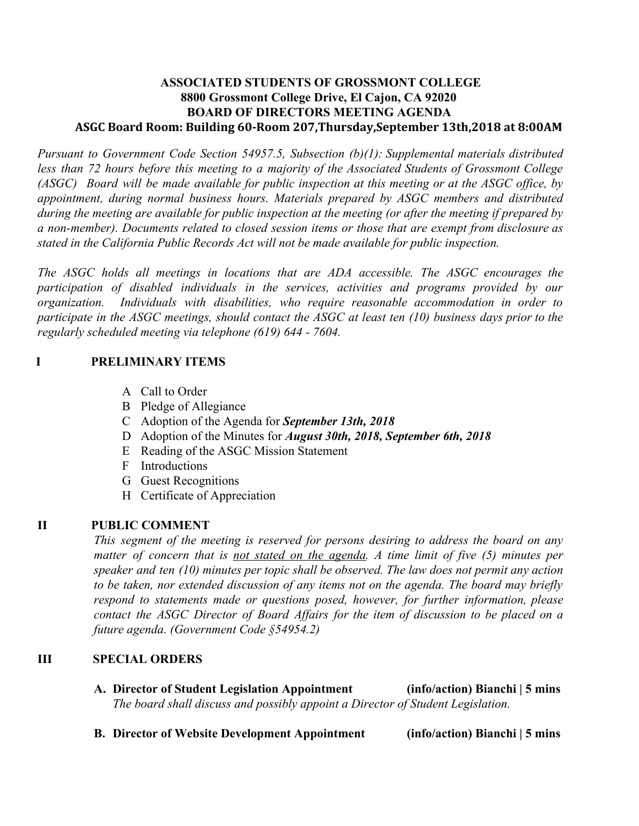## **ASSOCIATED STUDENTS OF GROSSMONT COLLEGE 8800 Grossmont College Drive, El Cajon, CA 92020 BOARD OF DIRECTORS MEETING AGENDA ASGC Board Room: Building 60-Room 207,Thursday,September 13th,2018 at 8:00AM**

*Pursuant to Government Code Section 54957.5, Subsection (b)(1): Supplemental materials distributed less than 72 hours before this meeting to a majority of the Associated Students of Grossmont College* (ASGC) Board will be made available for public inspection at this meeting or at the ASGC office, by *appointment, during normal business hours. Materials prepared by ASGC members and distributed* during the meeting are available for public inspection at the meeting (or after the meeting if prepared by *a non-member). Documents related to closed session items or those that are exempt from disclosure as stated in the California Public Records Act will not be made available for public inspection.* 

*The ASGC holds all meetings in locations that are ADA accessible. The ASGC encourages the participation of disabled individuals in the services, activities and programs provided by our organization. Individuals with disabilities, who require reasonable accommodation in order to* participate in the ASGC meetings, should contact the ASGC at least ten  $(10)$  business days prior to the *regularly scheduled meeting via telephone (619) 644 - 7604.*

# **I PRELIMINARY ITEMS**

- A Call to Order
- B Pledge of Allegiance
- C Adoption of the Agenda for *September 13th, 2018*
- D Adoption of the Minutes for *August 30th, 2018, September 6th, 2018*
- E Reading of the ASGC Mission Statement
- F Introductions
- G Guest Recognitions
- H Certificate of Appreciation

# **II PUBLIC COMMENT**

*This segment of the meeting is reserved for persons desiring to address the board on any matter of concern that is not stated on the agenda. A time limit of five (5) minutes per speaker and ten (10) minutes per topic shall be observed. The law does not permit any action to be taken, nor extended discussion of any items not on the agenda. The board may briefly respond to statements made or questions posed, however, for further information, please contact the ASGC Director of Board Affairs for the item of discussion to be placed on a future agenda. (Government Code §54954.2)*

## **III SPECIAL ORDERS**

- **A. Director of Student Legislation Appointment (info/action) Bianchi | 5 mins** *The board shall discuss and possibly appoint a Director of Student Legislation.*
- **B. Director of Website Development Appointment (info/action) Bianchi | 5 mins**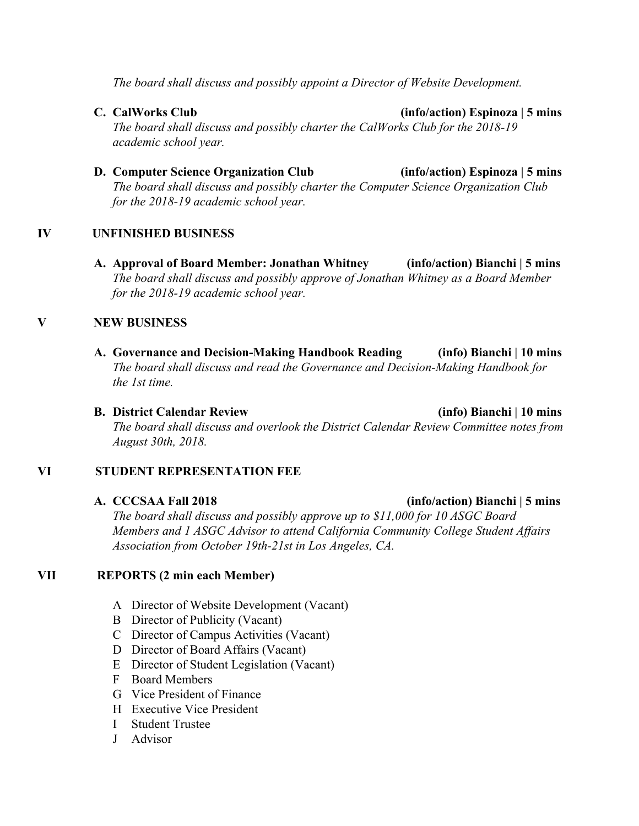*The board shall discuss and possibly appoint a Director of Website Development.*

**C. CalWorks Club (info/action) Espinoza | 5 mins**

*The board shall discuss and possibly charter the CalWorks Club for the 2018-19 academic school year.*

**D. Computer Science Organization Club (info/action) Espinoza | 5 mins** *The board shall discuss and possibly charter the Computer Science Organization Club for the 2018-19 academic school year.*

## **IV UNFINISHED BUSINESS**

**A. Approval of Board Member: Jonathan Whitney (info/action) Bianchi | 5 mins** *The board shall discuss and possibly approve of Jonathan Whitney as a Board Member for the 2018-19 academic school year.*

## **V NEW BUSINESS**

- **A. Governance and Decision-Making Handbook Reading (info) Bianchi | 10 mins** *The board shall discuss and read the Governance and Decision-Making Handbook for the 1st time.*
- **B. District Calendar Review (info) Bianchi | 10 mins** *The board shall discuss and overlook the District Calendar Review Committee notes from August 30th, 2018.*

#### **VI STUDENT REPRESENTATION FEE**

*The board shall discuss and possibly approve up to \$11,000 for 10 ASGC Board Members and 1 ASGC Advisor to attend California Community College Student Affairs Association from October 19th-21st in Los Angeles, CA.*

## **VII REPORTS (2 min each Member)**

- A Director of Website Development (Vacant)
- B Director of Publicity (Vacant)
- C Director of Campus Activities (Vacant)
- D Director of Board Affairs (Vacant)
- E Director of Student Legislation (Vacant)
- F Board Members
- G Vice President of Finance
- H Executive Vice President
- I Student Trustee
- J Advisor

#### **A. CCCSAA Fall 2018 (info/action) Bianchi | 5 mins**